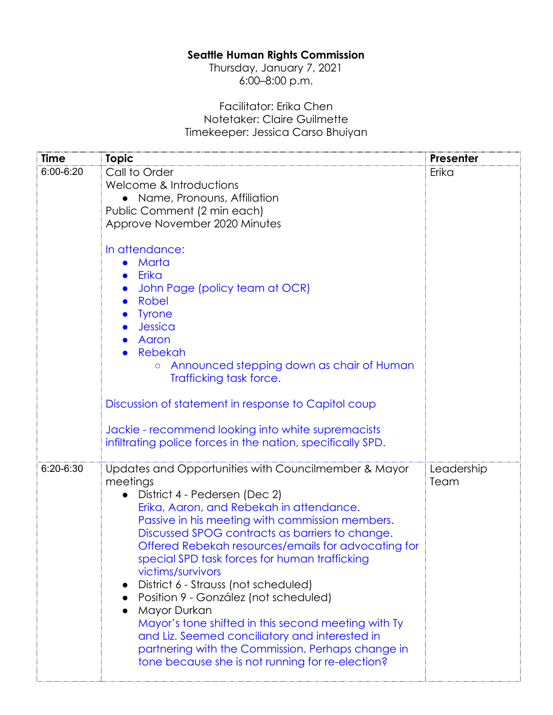## **Seattle Human Rights Commission**

Thursday, January 7, 2021 6:00–8:00 p.m.

## Facilitator: Erika Chen Notetaker: Claire Guilmette Timekeeper: Jessica Carso Bhuiyan

| <b>Time</b> | <b>Topic</b>                                                                                        | Presenter  |
|-------------|-----------------------------------------------------------------------------------------------------|------------|
| 6:00-6:20   | Call to Order                                                                                       | Erika      |
|             | Welcome & Introductions                                                                             |            |
|             | • Name, Pronouns, Affiliation                                                                       |            |
|             | Public Comment (2 min each)                                                                         |            |
|             | Approve November 2020 Minutes                                                                       |            |
|             | In attendance:                                                                                      |            |
|             | Marta                                                                                               |            |
|             | Erika                                                                                               |            |
|             | John Page (policy team at OCR)                                                                      |            |
|             | Robel                                                                                               |            |
|             | <b>Tyrone</b>                                                                                       |            |
|             | Jessica                                                                                             |            |
|             | Aaron<br>Rebekah                                                                                    |            |
|             | Announced stepping down as chair of Human<br>$\circ$                                                |            |
|             | Trafficking task force.                                                                             |            |
|             |                                                                                                     |            |
|             | Discussion of statement in response to Capitol coup                                                 |            |
|             | Jackie - recommend looking into white supremacists                                                  |            |
|             | infiltrating police forces in the nation, specifically SPD.                                         |            |
|             |                                                                                                     |            |
| $6:20-6:30$ | Updates and Opportunities with Councilmember & Mayor                                                | Leadership |
|             | meetings                                                                                            | Team       |
|             | District 4 - Pedersen (Dec 2)<br>$\bullet$                                                          |            |
|             | Erika, Aaron, and Rebekah in attendance.                                                            |            |
|             | Passive in his meeting with commission members.<br>Discussed SPOG contracts as barriers to change.  |            |
|             | Offered Rebekah resources/emails for advocating for                                                 |            |
|             | special SPD task forces for human trafficking                                                       |            |
|             | victims/survivors                                                                                   |            |
|             | District 6 - Strauss (not scheduled)                                                                |            |
|             | Position 9 - González (not scheduled)                                                               |            |
|             | Mayor Durkan                                                                                        |            |
|             | Mayor's tone shifted in this second meeting with Ty                                                 |            |
|             | and Liz. Seemed conciliatory and interested in<br>partnering with the Commission. Perhaps change in |            |
|             | tone because she is not running for re-election?                                                    |            |
|             |                                                                                                     |            |
|             |                                                                                                     |            |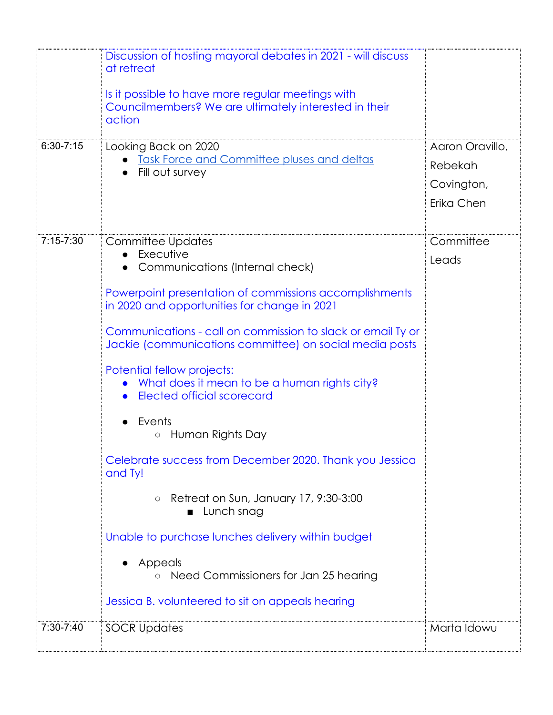| $6:30 - 7:15$ | Discussion of hosting mayoral debates in 2021 - will discuss<br>at retreat<br>Is it possible to have more regular meetings with<br>Councilmembers? We are ultimately interested in their<br>action<br>Looking Back on 2020<br><b>Task Force and Committee pluses and deltas</b> | Aaron Oravillo,<br>Rebekah |
|---------------|---------------------------------------------------------------------------------------------------------------------------------------------------------------------------------------------------------------------------------------------------------------------------------|----------------------------|
|               | Fill out survey                                                                                                                                                                                                                                                                 | Covington,<br>Erika Chen   |
| $7:15 - 7:30$ | <b>Committee Updates</b><br>Executive<br>Communications (Internal check)                                                                                                                                                                                                        | Committee<br>Leads         |
|               | Powerpoint presentation of commissions accomplishments<br>in 2020 and opportunities for change in 2021                                                                                                                                                                          |                            |
|               | Communications - call on commission to slack or email Ty or<br>Jackie (communications committee) on social media posts                                                                                                                                                          |                            |
|               | Potential fellow projects:<br>What does it mean to be a human rights city?<br>Elected official scorecard                                                                                                                                                                        |                            |
|               | Events<br>Human Rights Day                                                                                                                                                                                                                                                      |                            |
|               | Celebrate success from December 2020. Thank you Jessica<br>and Ty!                                                                                                                                                                                                              |                            |
|               | Retreat on Sun, January 17, 9:30-3:00<br>$\bigcirc$<br>Lunch snag                                                                                                                                                                                                               |                            |
|               | Unable to purchase lunches delivery within budget<br>Appeals                                                                                                                                                                                                                    |                            |
|               | Need Commissioners for Jan 25 hearing<br>Jessica B. volunteered to sit on appeals hearing                                                                                                                                                                                       |                            |
|               |                                                                                                                                                                                                                                                                                 |                            |
| 7:30-7:40     | <b>SOCR Updates</b>                                                                                                                                                                                                                                                             | Marta Idowu                |